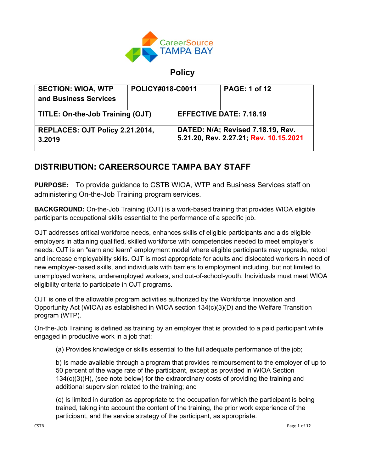

**Policy**

| <b>SECTION: WIOA, WTP</b><br>and Business Services | POLICY#018-C0011 |                                                                             | <b>PAGE: 1 of 12</b> |
|----------------------------------------------------|------------------|-----------------------------------------------------------------------------|----------------------|
| TITLE: On-the-Job Training (OJT)                   |                  | <b>EFFECTIVE DATE: 7.18.19</b>                                              |                      |
| REPLACES: OJT Policy 2.21.2014,<br>3.2019          |                  | DATED: N/A; Revised 7.18.19, Rev.<br>5.21.20, Rev. 2.27.21; Rev. 10.15.2021 |                      |

# **DISTRIBUTION: CAREERSOURCE TAMPA BAY STAFF**

**PURPOSE:** To provide guidance to CSTB WIOA, WTP and Business Services staff on administering On-the-Job Training program services.

**BACKGROUND:** On-the-Job Training (OJT) is a work-based training that provides WIOA eligible participants occupational skills essential to the performance of a specific job.

OJT addresses critical workforce needs, enhances skills of eligible participants and aids eligible employers in attaining qualified, skilled workforce with competencies needed to meet employer's needs. OJT is an "earn and learn" employment model where eligible participants may upgrade, retool and increase employability skills. OJT is most appropriate for adults and dislocated workers in need of new employer-based skills, and individuals with barriers to employment including, but not limited to, unemployed workers, underemployed workers, and out-of-school-youth. Individuals must meet WIOA eligibility criteria to participate in OJT programs.

OJT is one of the allowable program activities authorized by the Workforce Innovation and Opportunity Act (WIOA) as established in WIOA section 134(c)(3)(D) and the Welfare Transition program (WTP).

On-the-Job Training is defined as training by an employer that is provided to a paid participant while engaged in productive work in a job that:

(a) Provides knowledge or skills essential to the full adequate performance of the job;

b) Is made available through a program that provides reimbursement to the employer of up to 50 percent of the wage rate of the participant, except as provided in WIOA Section 134(c)(3)(H), (see note below) for the extraordinary costs of providing the training and additional supervision related to the training; and

(c) Is limited in duration as appropriate to the occupation for which the participant is being trained, taking into account the content of the training, the prior work experience of the participant, and the service strategy of the participant, as appropriate.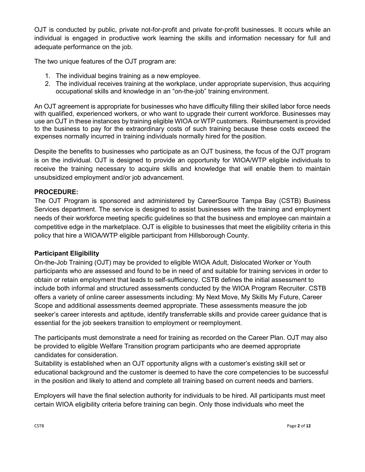OJT is conducted by public, private not-for-profit and private for-profit businesses. It occurs while an individual is engaged in productive work learning the skills and information necessary for full and adequate performance on the job.

The two unique features of the OJT program are:

- 1. The individual begins training as a new employee.
- 2. The individual receives training at the workplace, under appropriate supervision, thus acquiring occupational skills and knowledge in an "on-the-job" training environment.

An OJT agreement is appropriate for businesses who have difficulty filling their skilled labor force needs with qualified, experienced workers, or who want to upgrade their current workforce. Businesses may use an OJT in these instances by training eligible WIOA or WTP customers. Reimbursement is provided to the business to pay for the extraordinary costs of such training because these costs exceed the expenses normally incurred in training individuals normally hired for the position.

Despite the benefits to businesses who participate as an OJT business, the focus of the OJT program is on the individual. OJT is designed to provide an opportunity for WIOA/WTP eligible individuals to receive the training necessary to acquire skills and knowledge that will enable them to maintain unsubsidized employment and/or job advancement.

#### **PROCEDURE:**

The OJT Program is sponsored and administered by CareerSource Tampa Bay (CSTB) Business Services department. The service is designed to assist businesses with the training and employment needs of their workforce meeting specific guidelines so that the business and employee can maintain a competitive edge in the marketplace. OJT is eligible to businesses that meet the eligibility criteria in this policy that hire a WIOA/WTP eligible participant from Hillsborough County.

# **Participant Eligibility**

On-the-Job Training (OJT) may be provided to eligible WIOA Adult, Dislocated Worker or Youth participants who are assessed and found to be in need of and suitable for training services in order to obtain or retain employment that leads to self-sufficiency. CSTB defines the initial assessment to include both informal and structured assessments conducted by the WIOA Program Recruiter. CSTB offers a variety of online career assessments including: My Next Move, My Skills My Future, Career Scope and additional assessments deemed appropriate. These assessments measure the job seeker's career interests and aptitude, identify transferrable skills and provide career guidance that is essential for the job seekers transition to employment or reemployment.

The participants must demonstrate a need for training as recorded on the Career Plan. OJT may also be provided to eligible Welfare Transition program participants who are deemed appropriate candidates for consideration.

Suitability is established when an OJT opportunity aligns with a customer's existing skill set or educational background and the customer is deemed to have the core competencies to be successful in the position and likely to attend and complete all training based on current needs and barriers.

Employers will have the final selection authority for individuals to be hired. All participants must meet certain WIOA eligibility criteria before training can begin. Only those individuals who meet the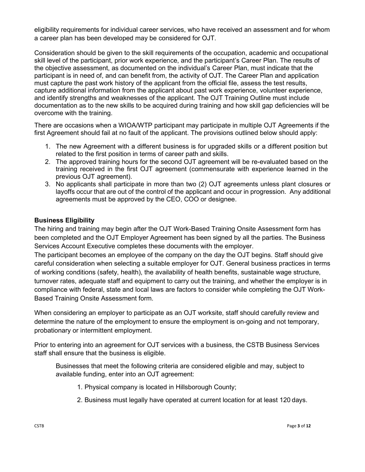eligibility requirements for individual career services, who have received an assessment and for whom a career plan has been developed may be considered for OJT.

Consideration should be given to the skill requirements of the occupation, academic and occupational skill level of the participant, prior work experience, and the participant's Career Plan. The results of the objective assessment, as documented on the individual's Career Plan, must indicate that the participant is in need of, and can benefit from, the activity of OJT. The Career Plan and application must capture the past work history of the applicant from the official file, assess the test results, capture additional information from the applicant about past work experience, volunteer experience, and identify strengths and weaknesses of the applicant. The OJT Training Outline must include documentation as to the new skills to be acquired during training and how skill gap deficiencies will be overcome with the training.

There are occasions when a WIOA/WTP participant may participate in multiple OJT Agreements if the first Agreement should fail at no fault of the applicant. The provisions outlined below should apply:

- 1. The new Agreement with a different business is for upgraded skills or a different position but related to the first position in terms of career path and skills.
- 2. The approved training hours for the second OJT agreement will be re-evaluated based on the training received in the first OJT agreement (commensurate with experience learned in the previous OJT agreement).
- 3. No applicants shall participate in more than two (2) OJT agreements unless plant closures or layoffs occur that are out of the control of the applicant and occur in progression. Any additional agreements must be approved by the CEO, COO or designee.

# **Business Eligibility**

The hiring and training may begin after the OJT Work-Based Training Onsite Assessment form has been completed and the OJT Employer Agreement has been signed by all the parties. The Business Services Account Executive completes these documents with the employer.

The participant becomes an employee of the company on the day the OJT begins. Staff should give careful consideration when selecting a suitable employer for OJT. General business practices in terms of working conditions (safety, health), the availability of health benefits, sustainable wage structure, turnover rates, adequate staff and equipment to carry out the training, and whether the employer is in compliance with federal, state and local laws are factors to consider while completing the OJT Work-Based Training Onsite Assessment form.

When considering an employer to participate as an OJT worksite, staff should carefully review and determine the nature of the employment to ensure the employment is on-going and not temporary, probationary or intermittent employment.

Prior to entering into an agreement for OJT services with a business, the CSTB Business Services staff shall ensure that the business is eligible.

Businesses that meet the following criteria are considered eligible and may, subject to available funding, enter into an OJT agreement:

- 1. Physical company is located in Hillsborough County;
- 2. Business must legally have operated at current location for at least 120 days.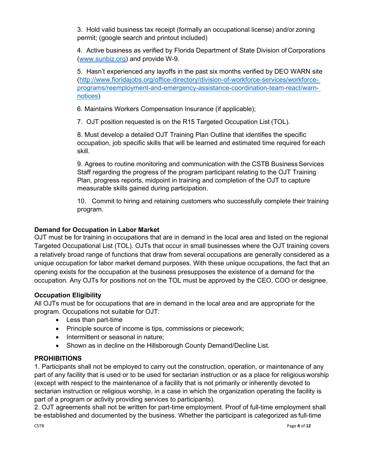3. Hold valid business tax receipt (formally an occupational license) and/or zoning permit; (google search and printout included)

4. Active business as verified by Florida Department of State Division of Corporations [\(www.sunbiz.org\)](http://www.sunbiz.org/) and provide W-9.

5. Hasn't experienced any layoffs in the past six months verified by DEO WARN site [\(http://www.floridajobs.org/office-directory/division-of-workforce-services/workforce](http://www.floridajobs.org/office-directory/division-of-workforce-services/workforce-programs/reemployment-and-emergency-assistance-coordination-team-react/warn-notices)[programs/reemployment-and-emergency-assistance-coordination-team-react/warn](http://www.floridajobs.org/office-directory/division-of-workforce-services/workforce-programs/reemployment-and-emergency-assistance-coordination-team-react/warn-notices)[notices\)](http://www.floridajobs.org/office-directory/division-of-workforce-services/workforce-programs/reemployment-and-emergency-assistance-coordination-team-react/warn-notices)

6. Maintains Workers Compensation Insurance (if applicable);

7. OJT position requested is on the R15 Targeted Occupation List (TOL).

8. Must develop a detailed OJT Training Plan Outline that identifies the specific occupation, job specific skills that will be learned and estimated time required for each skill.

9. Agrees to routine monitoring and communication with the CSTB Business Services Staff regarding the progress of the program participant relating to the OJT Training Plan, progress reports, midpoint in training and completion of the OJT to capture measurable skills gained during participation.

10. Commit to hiring and retaining customers who successfully complete their training program.

# **Demand for Occupation in Labor Market**

OJT must be for training in occupations that are in demand in the local area and listed on the regional Targeted Occupational List (TOL). OJTs that occur in small businesses where the OJT training covers a relatively broad range of functions that draw from several occupations are generally considered as a unique occupation for labor market demand purposes. With these unique occupations, the fact that an opening exists for the occupation at the business presupposes the existence of a demand for the occupation. Any OJTs for positions not on the TOL must be approved by the CEO, COO or designee.

#### **Occupation Eligibility**

All OJTs must be for occupations that are in demand in the local area and are appropriate for the program. Occupations not suitable for OJT:

- Less than part-time
- Principle source of income is tips, commissions or piecework;
- Intermittent or seasonal in nature;
- Shown as in decline on the Hillsborough County Demand/Decline List.

#### **PROHIBITIONS**

1. Participants shall not be employed to carry out the construction, operation, or maintenance of any part of any facility that is used or to be used for sectarian instruction or as a place for religious worship (except with respect to the maintenance of a facility that is not primarily or inherently devoted to sectarian instruction or religious worship, in a case in which the organization operating the facility is part of a program or activity providing services to participants).

2. OJT agreements shall not be written for part-time employment. Proof of full-time employment shall be established and documented by the business. Whether the participant is categorized as full-time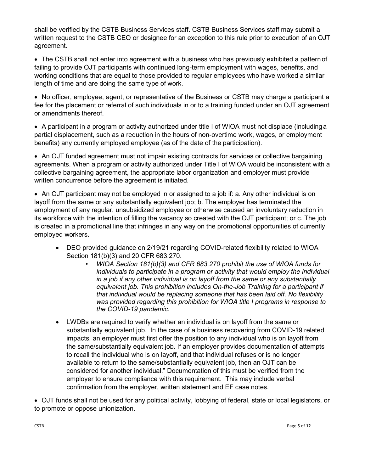shall be verified by the CSTB Business Services staff. CSTB Business Services staff may submit a written request to the CSTB CEO or designee for an exception to this rule prior to execution of an OJT agreement.

• The CSTB shall not enter into agreement with a business who has previously exhibited a pattern of failing to provide OJT participants with continued long-term employment with wages, benefits, and working conditions that are equal to those provided to regular employees who have worked a similar length of time and are doing the same type of work.

• No officer, employee, agent, or representative of the Business or CSTB may charge a participant a fee for the placement or referral of such individuals in or to a training funded under an OJT agreement or amendments thereof.

• A participant in a program or activity authorized under title I of WIOA must not displace (includinga partial displacement, such as a reduction in the hours of non-overtime work, wages, or employment benefits) any currently employed employee (as of the date of the participation).

• An OJT funded agreement must not impair existing contracts for services or collective bargaining agreements. When a program or activity authorized under Title I of WIOA would be inconsistent with a collective bargaining agreement, the appropriate labor organization and employer must provide written concurrence before the agreement is initiated.

• An OJT participant may not be employed in or assigned to a job if: a. Any other individual is on layoff from the same or any substantially equivalent job; b. The employer has terminated the employment of any regular, unsubsidized employee or otherwise caused an involuntary reduction in its workforce with the intention of filling the vacancy so created with the OJT participant; or c. The job is created in a promotional line that infringes in any way on the promotional opportunities of currently employed workers.

- DEO provided guidance on 2/19/21 regarding COVID-related flexibility related to WIOA Section 181(b)(3) and 20 CFR 683.270.
	- *WIOA Section 181(b)(3) and CFR 683.270 prohibit the use of WIOA funds for individuals to participate in a program or activity that would employ the individual in a job if any other individual is on layoff from the same or any substantially equivalent job. This prohibition includes On-the-Job Training for a participant if that individual would be replacing someone that has been laid off. No flexibility was provided regarding this prohibition for WIOA title I programs in response to the COVID-19 pandemic.*
- LWDBs are required to verify whether an individual is on layoff from the same or substantially equivalent job. In the case of a business recovering from COVID-19 related impacts, an employer must first offer the position to any individual who is on layoff from the same/substantially equivalent job. If an employer provides documentation of attempts to recall the individual who is on layoff, and that individual refuses or is no longer available to return to the same/substantially equivalent job, then an OJT can be considered for another individual." Documentation of this must be verified from the employer to ensure compliance with this requirement. This may include verbal confirmation from the employer, written statement and EF case notes.

• OJT funds shall not be used for any political activity, lobbying of federal, state or local legislators, or to promote or oppose unionization.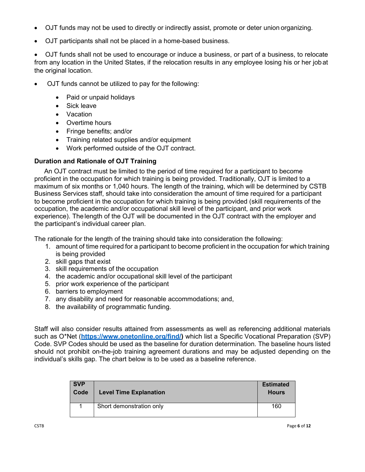- OJT funds may not be used to directly or indirectly assist, promote or deter union organizing.
- OJT participants shall not be placed in a home-based business.

• OJT funds shall not be used to encourage or induce a business, or part of a business, to relocate from any location in the United States, if the relocation results in any employee losing his or her jobat the original location.

- OJT funds cannot be utilized to pay for the following:
	- Paid or unpaid holidays
	- Sick leave
	- Vacation
	- Overtime hours
	- Fringe benefits; and/or
	- Training related supplies and/or equipment
	- Work performed outside of the OJT contract.

#### **Duration and Rationale of OJT Training**

An OJT contract must be limited to the period of time required for a participant to become proficient in the occupation for which training is being provided. Traditionally, OJT is limited to a maximum of six months or 1,040 hours. The length of the training, which will be determined by CSTB Business Services staff, should take into consideration the amount of time required for a participant to become proficient in the occupation for which training is being provided (skill requirements of the occupation, the academic and/or occupational skill level of the participant, and prior work experience). The length of the OJT will be documented in the OJT contract with the employer and the participant's individual career plan.

The rationale for the length of the training should take into consideration the following:

- 1. amount of time required for a participant to become proficient in the occupation for which training is being provided
- 2. skill gaps that exist
- 3. skill requirements of the occupation
- 4. the academic and/or occupational skill level of the participant
- 5. prior work experience of the participant
- 6. barriers to employment
- 7. any disability and need for reasonable accommodations; and,
- 8. the availability of programmatic funding.

Staff will also consider results attained from assessments as well as referencing additional materials such as O\*Net (**[https://www.onetonline.org/find/\)](https://www.onetonline.org/find/)** which list a Specific Vocational Preparation (SVP) Code. SVP Codes should be used as the baseline for duration determination. The baseline hours listed should not prohibit on-the-job training agreement durations and may be adjusted depending on the individual's skills gap. The chart below is to be used as a baseline reference.

| <b>SVP</b><br>Code | <b>Level Time Explanation</b> | <b>Estimated</b><br><b>Hours</b> |
|--------------------|-------------------------------|----------------------------------|
|                    | Short demonstration only      | 160                              |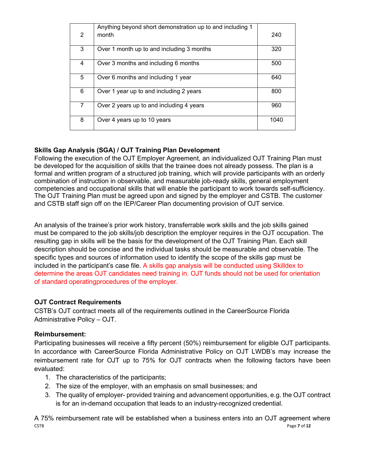|                | Anything beyond short demonstration up to and including 1 |      |
|----------------|-----------------------------------------------------------|------|
| $\overline{2}$ | month                                                     | 240  |
| 3              | Over 1 month up to and including 3 months                 | 320  |
| 4              | Over 3 months and including 6 months                      | 500  |
| 5              | Over 6 months and including 1 year                        | 640  |
| 6              | Over 1 year up to and including 2 years                   | 800  |
| 7              | Over 2 years up to and including 4 years                  | 960  |
| 8              | Over 4 years up to 10 years                               | 1040 |

# **Skills Gap Analysis (SGA) / OJT Training Plan Development**

Following the execution of the OJT Employer Agreement, an individualized OJT Training Plan must be developed for the acquisition of skills that the trainee does not already possess. The plan is a formal and written program of a structured job training, which will provide participants with an orderly combination of instruction in observable, and measurable job-ready skills, general employment competencies and occupational skills that will enable the participant to work towards self-sufficiency. The OJT Training Plan must be agreed upon and signed by the employer and CSTB. The customer and CSTB staff sign off on the IEP/Career Plan documenting provision of OJT service.

An analysis of the trainee's prior work history, transferrable work skills and the job skills gained must be compared to the job skills/job description the employer requires in the OJT occupation. The resulting gap in skills will be the basis for the development of the OJT Training Plan. Each skill description should be concise and the individual tasks should be measurable and observable. The specific types and sources of information used to identify the scope of the skills gap must be included in the participant's case file. A skills gap analysis will be conducted using Skilldex to determine the areas OJT candidates need training in. OJT funds should not be used for orientation of standard operatingprocedures of the employer.

# **OJT Contract Requirements**

CSTB's OJT contract meets all of the requirements outlined in the CareerSource Florida Administrative Policy – OJT.

# **Reimbursement:**

Participating businesses will receive a fifty percent (50%) reimbursement for eligible OJT participants. In accordance with CareerSource Florida Administrative Policy on OJT LWDB's may increase the reimbursement rate for OJT up to 75% for OJT contracts when the following factors have been evaluated:

- 1. The characteristics of the participants;
- 2. The size of the employer, with an emphasis on small businesses; and
- 3. The quality of employer- provided training and advancement opportunities, e.g. the OJT contract is for an in-demand occupation that leads to an industry-recognized credential.

CSTB Page **7** of **12** A 75% reimbursement rate will be established when a business enters into an OJT agreement where csta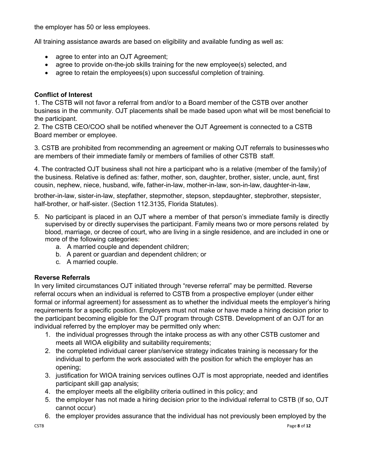the employer has 50 or less employees.

All training assistance awards are based on eligibility and available funding as well as:

- agree to enter into an OJT Agreement;
- agree to provide on-the-job skills training for the new employee(s) selected, and
- agree to retain the employees(s) upon successful completion of training.

#### **Conflict of Interest**

1. The CSTB will not favor a referral from and/or to a Board member of the CSTB over another business in the community. OJT placements shall be made based upon what will be most beneficial to the participant.

2. The CSTB CEO/COO shall be notified whenever the OJT Agreement is connected to a CSTB Board member or employee.

3. CSTB are prohibited from recommending an agreement or making OJT referrals to businesseswho are members of their immediate family or members of families of other CSTB staff.

4. The contracted OJT business shall not hire a participant who is a relative (member of the family) of the business. Relative is defined as: father, mother, son, daughter, brother, sister, uncle, aunt, first cousin, nephew, niece, husband, wife, father-in-law, mother-in-law, son-in-law, daughter-in-law,

brother-in-law, sister-in-law, stepfather, stepmother, stepson, stepdaughter, stepbrother, stepsister, half-brother, or half-sister. (Section 112.3135, Florida Statutes).

- 5. No participant is placed in an OJT where a member of that person's immediate family is directly supervised by or directly supervises the participant. Family means two or more persons related by blood, marriage, or decree of court, who are living in a single residence, and are included in one or more of the following categories:
	- a. A married couple and dependent children;
	- b. A parent or guardian and dependent children; or
	- c. A married couple.

#### **Reverse Referrals**

In very limited circumstances OJT initiated through "reverse referral" may be permitted. Reverse referral occurs when an individual is referred to CSTB from a prospective employer (under either formal or informal agreement) for assessment as to whether the individual meets the employer's hiring requirements for a specific position. Employers must not make or have made a hiring decision prior to the participant becoming eligible for the OJT program through CSTB. Development of an OJT for an individual referred by the employer may be permitted only when:

- 1. the individual progresses through the intake process as with any other CSTB customer and meets all WIOA eligibility and suitability requirements;
- 2. the completed individual career plan/service strategy indicates training is necessary for the individual to perform the work associated with the position for which the employer has an opening;
- 3. justification for WIOA training services outlines OJT is most appropriate, needed and identifies participant skill gap analysis;
- 4. the employer meets all the eligibility criteria outlined in this policy; and
- 5. the employer has not made a hiring decision prior to the individual referral to CSTB (If so, OJT cannot occur)
- 6. the employer provides assurance that the individual has not previously been employed by the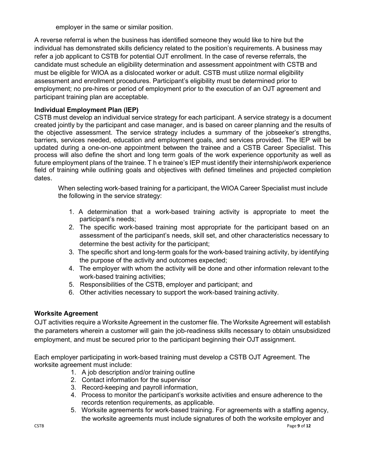employer in the same or similar position.

A reverse referral is when the business has identified someone they would like to hire but the individual has demonstrated skills deficiency related to the position's requirements. A business may refer a job applicant to CSTB for potential OJT enrollment. In the case of reverse referrals, the candidate must schedule an eligibility determination and assessment appointment with CSTB and must be eligible for WIOA as a dislocated worker or adult. CSTB must utilize normal eligibility assessment and enrollment procedures. Participant's eligibility must be determined prior to employment; no pre-hires or period of employment prior to the execution of an OJT agreement and participant training plan are acceptable.

#### **Individual Employment Plan (IEP)**

CSTB must develop an individual service strategy for each participant. A service strategy is a document created jointly by the participant and case manager, and is based on career planning and the results of the objective assessment. The service strategy includes a summary of the jobseeker's strengths, barriers, services needed, education and employment goals, and services provided. The IEP will be updated during a one-on-one appointment between the trainee and a CSTB Career Specialist. This process will also define the short and long term goals of the work experience opportunity as well as future employment plans of the trainee. T h e trainee's IEP must identify their internship/work experience field of training while outlining goals and objectives with defined timelines and projected completion dates.

When selecting work-based training for a participant, the WIOA Career Specialist must include the following in the service strategy:

- 1. A determination that a work-based training activity is appropriate to meet the participant's needs;
- 2. The specific work-based training most appropriate for the participant based on an assessment of the participant's needs, skill set, and other characteristics necessary to determine the best activity for the participant;
- 3. The specific short and long-term goals for the work-based training activity, by identifying the purpose of the activity and outcomes expected;
- 4. The employer with whom the activity will be done and other information relevant tothe work-based training activities;
- 5. Responsibilities of the CSTB, employer and participant; and
- 6. Other activities necessary to support the work-based training activity.

#### **Worksite Agreement**

OJT activities require a Worksite Agreement in the customer file. The Worksite Agreement will establish the parameters wherein a customer will gain the job-readiness skills necessary to obtain unsubsidized employment, and must be secured prior to the participant beginning their OJT assignment.

Each employer participating in work-based training must develop a CSTB OJT Agreement. The worksite agreement must include:

- 1. A job description and/or training outline
- 2. Contact information for the supervisor
- 3. Record-keeping and payroll information,
- 4. Process to monitor the participant's worksite activities and ensure adherence to the records retention requirements, as applicable.
- 5. Worksite agreements for work-based training. For agreements with a staffing agency, the worksite agreements must include signatures of both the worksite employer and<br>Page 9 of 12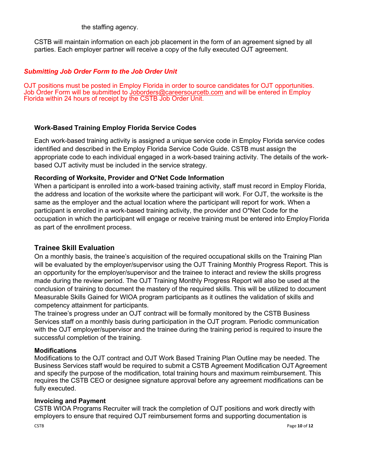the staffing agency.

CSTB will maintain information on each job placement in the form of an agreement signed by all parties. Each employer partner will receive a copy of the fully executed OJT agreement.

#### *Submitting Job Order Form to the Job Order Unit*

OJT positions must be posted in Employ Florida in order to source candidates for OJT opportunities. Job Order Form will be submitted to [Joborders@careersourcetb.com](mailto:Joborders@careersourcetb.com) and will be entered in Employ Florida within 24 hours of receipt by the CSTB Job Order Unit.

#### **Work-Based Training Employ Florida Service Codes**

Each work-based training activity is assigned a unique service code in Employ Florida service codes identified and described in the Employ Florida Service Code Guide. CSTB must assign the appropriate code to each individual engaged in a work-based training activity. The details of the workbased OJT activity must be included in the service strategy.

#### **Recording of Worksite, Provider and O\*Net Code Information**

When a participant is enrolled into a work-based training activity, staff must record in Employ Florida, the address and location of the worksite where the participant will work. For OJT, the worksite is the same as the employer and the actual location where the participant will report for work. When a participant is enrolled in a work-based training activity, the provider and O\*Net Code for the occupation in which the participant will engage or receive training must be entered into EmployFlorida as part of the enrollment process.

#### **Trainee Skill Evaluation**

On a monthly basis, the trainee's acquisition of the required occupational skills on the Training Plan will be evaluated by the employer/supervisor using the OJT Training Monthly Progress Report. This is an opportunity for the employer/supervisor and the trainee to interact and review the skills progress made during the review period. The OJT Training Monthly Progress Report will also be used at the conclusion of training to document the mastery of the required skills. This will be utilized to document Measurable Skills Gained for WIOA program participants as it outlines the validation of skills and competency attainment for participants.

The trainee's progress under an OJT contract will be formally monitored by the CSTB Business Services staff on a monthly basis during participation in the OJT program. Periodic communication with the OJT employer/supervisor and the trainee during the training period is required to insure the successful completion of the training.

#### **Modifications**

Modifications to the OJT contract and OJT Work Based Training Plan Outline may be needed. The Business Services staff would be required to submit a CSTB Agreement Modification OJTAgreement and specify the purpose of the modification, total training hours and maximum reimbursement. This requires the CSTB CEO or designee signature approval before any agreement modifications can be fully executed.

#### **Invoicing and Payment**

CSTB WIOA Programs Recruiter will track the completion of OJT positions and work directly with employers to ensure that required OJT reimbursement forms and supporting documentation is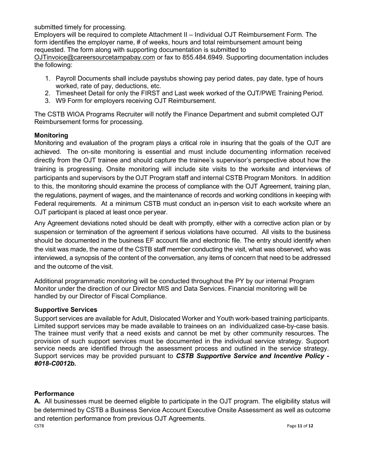submitted timely for processing.

Employers will be required to complete Attachment II – Individual OJT Reimbursement Form. The form identifies the employer name, # of weeks, hours and total reimbursement amount being requested. The form along with supporting documentation is submitted to [OJTinvoice@careersourcetampabay.com](mailto:OJTinvoice@careersourcetampabay.com) or fax to 855.484.6949. Supporting documentation includes

the following:

- 1. Payroll Documents shall include paystubs showing pay period dates, pay date, type of hours worked, rate of pay, deductions, etc.
- 2. Timesheet Detail for only the FIRST and Last week worked of the OJT/PWE Training Period.
- 3. W9 Form for employers receiving OJT Reimbursement.

The CSTB WIOA Programs Recruiter will notify the Finance Department and submit completed OJT Reimbursement forms for processing.

#### **Monitoring**

Monitoring and evaluation of the program plays a critical role in insuring that the goals of the OJT are achieved. The on-site monitoring is essential and must include documenting information received directly from the OJT trainee and should capture the trainee's supervisor's perspective about how the training is progressing. Onsite monitoring will include site visits to the worksite and interviews of participants and supervisors by the OJT Program staff and internal CSTB Program Monitors. In addition to this, the monitoring should examine the process of compliance with the OJT Agreement, training plan, the regulations, payment of wages, and the maintenance of records and working conditions in keeping with Federal requirements. At a minimum CSTB must conduct an in-person visit to each worksite where an OJT participant is placed at least once peryear.

Any Agreement deviations noted should be dealt with promptly, either with a corrective action plan or by suspension or termination of the agreement if serious violations have occurred. All visits to the business should be documented in the business EF account file and electronic file. The entry should identify when the visit was made, the name of the CSTB staff member conducting the visit, what was observed, who was interviewed, a synopsis of the content of the conversation, any items of concern that need to be addressed and the outcome of the visit.

Additional programmatic monitoring will be conducted throughout the PY by our internal Program Monitor under the direction of our Director MIS and Data Services. Financial monitoring will be handled by our Director of Fiscal Compliance.

#### **Supportive Services**

Support services are available for Adult, Dislocated Worker and Youth work-based training participants. Limited support services may be made available to trainees on an individualized case-by-case basis. The trainee must verify that a need exists and cannot be met by other community resources. The provision of such support services must be documented in the individual service strategy. Support service needs are identified through the assessment process and outlined in the service strategy. Support services may be provided pursuant to *CSTB Supportive Service and Incentive Policy - #018-C0012b.*

#### **Performance**

CSTB Page **11** of **12 A.** All businesses must be deemed eligible to participate in the OJT program. The eligibility status will be determined by CSTB a Business Service Account Executive Onsite Assessment as well as outcome and retention performance from previous OJT Agreements.